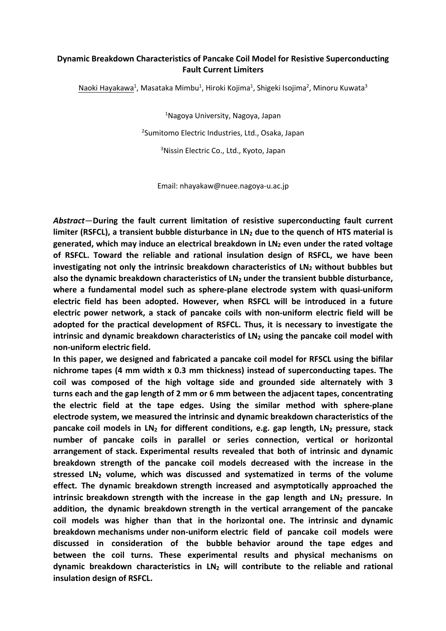## **Dynamic Breakdown Characteristics of Pancake Coil Model for Resistive Superconducting Fault Current Limiters**

Naoki Hayakawa<sup>1</sup>, Masataka Mimbu<sup>1</sup>, Hiroki Kojima<sup>1</sup>, Shigeki Isojima<sup>2</sup>, Minoru Kuwata<sup>3</sup>

<sup>1</sup>Nagoya University, Nagoya, Japan 2 Sumitomo Electric Industries, Ltd., Osaka, Japan <sup>3</sup>Nissin Electric Co., Ltd., Kyoto, Japan

Email: nhayakaw@nuee.nagoya-u.ac.jp

*Abstract*—**During the fault current limitation of resistive superconducting fault current limiter (RSFCL), a transient bubble disturbance in LN<sup>2</sup> due to the quench of HTS material is generated, which may induce an electrical breakdown in LN<sup>2</sup> even under the rated voltage of RSFCL. Toward the reliable and rational insulation design of RSFCL, we have been investigating not only the intrinsic breakdown characteristics of LN<sup>2</sup> without bubbles but also the dynamic breakdown characteristics of LN<sup>2</sup> under the transient bubble disturbance, where a fundamental model such as sphere-plane electrode system with quasi-uniform electric field has been adopted. However, when RSFCL will be introduced in a future electric power network, a stack of pancake coils with non-uniform electric field will be adopted for the practical development of RSFCL. Thus, it is necessary to investigate the intrinsic and dynamic breakdown characteristics of LN<sup>2</sup> using the pancake coil model with non-uniform electric field.** 

**In this paper, we designed and fabricated a pancake coil model for RFSCL using the bifilar nichrome tapes (4 mm width x 0.3 mm thickness) instead of superconducting tapes. The coil was composed of the high voltage side and grounded side alternately with 3 turns each and the gap length of 2 mm or 6 mm between the adjacent tapes, concentrating the electric field at the tape edges. Using the similar method with sphere-plane electrode system, we measured the intrinsic and dynamic breakdown characteristics of the pancake coil models in LN<sup>2</sup> for different conditions, e.g. gap length, LN<sup>2</sup> pressure, stack number of pancake coils in parallel or series connection, vertical or horizontal arrangement of stack. Experimental results revealed that both of intrinsic and dynamic breakdown strength of the pancake coil models decreased with the increase in the stressed LN<sup>2</sup> volume, which was discussed and systematized in terms of the volume effect. The dynamic breakdown strength increased and asymptotically approached the intrinsic breakdown strength with the increase in the gap length and LN<sup>2</sup> pressure. In addition, the dynamic breakdown strength in the vertical arrangement of the pancake coil models was higher than that in the horizontal one. The intrinsic and dynamic breakdown mechanisms under non-uniform electric field of pancake coil models were discussed in consideration of the bubble behavior around the tape edges and between the coil turns. These experimental results and physical mechanisms on dynamic breakdown characteristics in LN<sup>2</sup> will contribute to the reliable and rational insulation design of RSFCL.**